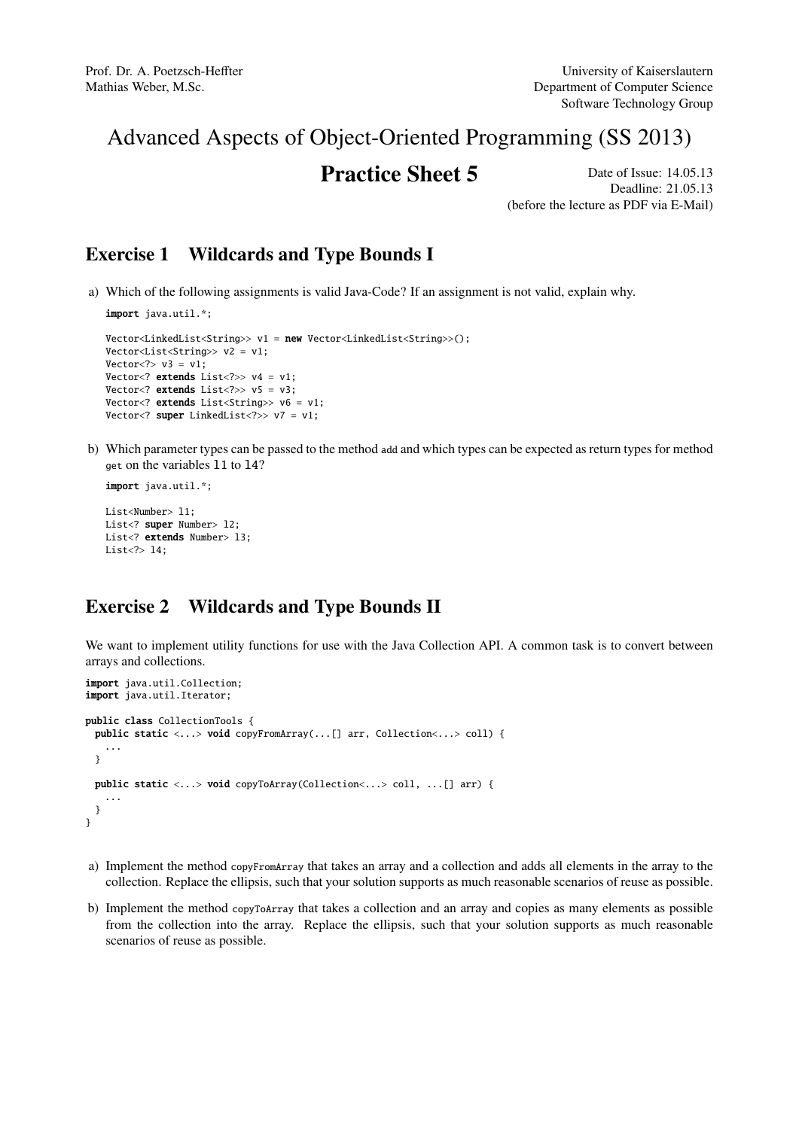# Advanced Aspects of Object-Oriented Programming (SS 2013)

## **Practice Sheet 5** Date of Issue: 14.05.13

Deadline: 21.05.13 (before the lecture as PDF via E-Mail)

### Exercise 1 Wildcards and Type Bounds I

a) Which of the following assignments is valid Java-Code? If an assignment is not valid, explain why.

```
import java.util.*;
Vector<LinkedList<String>> v1 = new Vector<LinkedList<String>>();
Vector<List<String>> v2 = v1;
Vector <? v3 = v1;
Vector<? extends List<?>> v4 = v1:
Vector<? extends List<?>>v5 = v3;
Vector<? extends List<String>> v6 = v1;
Vector<? super LinkedList<?>> v7 = v1;
```
b) Which parameter types can be passed to the method add and which types can be expected as return types for method get on the variables l1 to l4?

```
import java.util.*;
```

```
List<Number> 11;
List<? super Number> 12;
List<? extends Number> 13;
List<?> l4;
```
## Exercise 2 Wildcards and Type Bounds II

We want to implement utility functions for use with the Java Collection API. A common task is to convert between arrays and collections.

```
import java.util.Collection;
import java.util.Iterator;
public class CollectionTools {
 public static <...> void copyFromArray(...[] arr, Collection<...> coll) {
   ...
 }
 public static <...> void copyToArray(Collection<...> coll, ...[] arr) {
   ...
 }
}
```
- a) Implement the method copyFromArray that takes an array and a collection and adds all elements in the array to the collection. Replace the ellipsis, such that your solution supports as much reasonable scenarios of reuse as possible.
- b) Implement the method copyToArray that takes a collection and an array and copies as many elements as possible from the collection into the array. Replace the ellipsis, such that your solution supports as much reasonable scenarios of reuse as possible.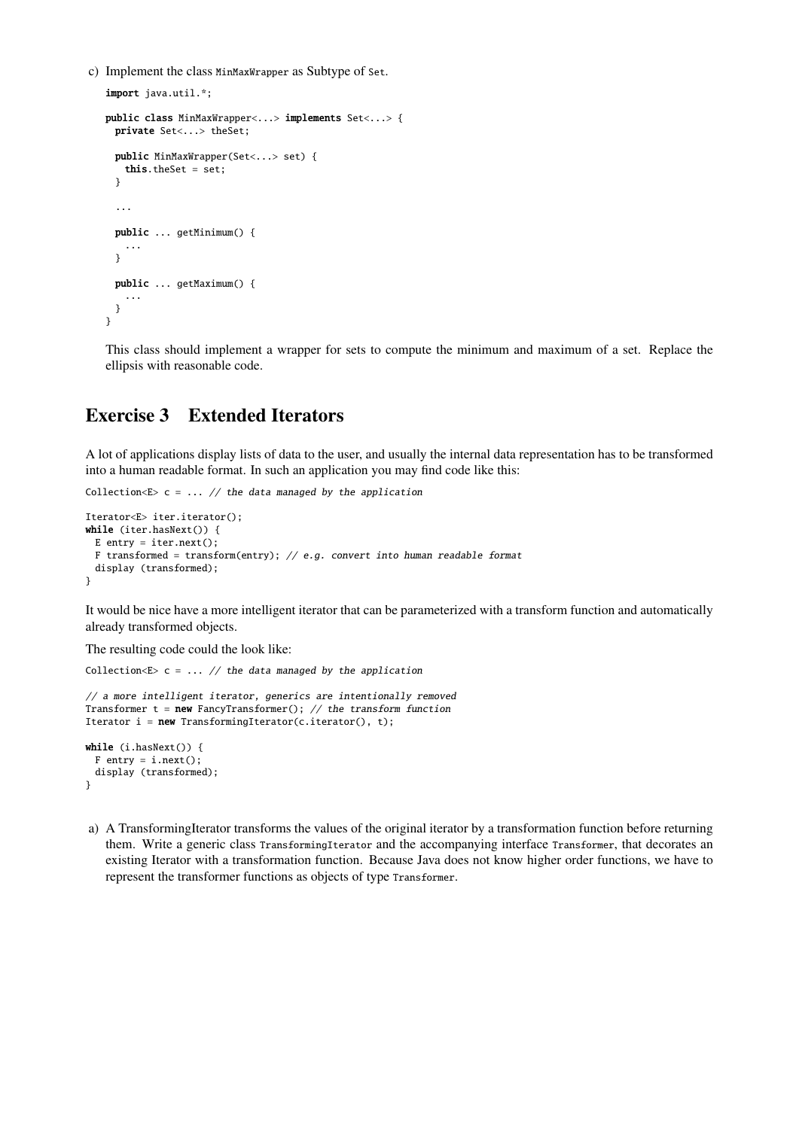c) Implement the class MinMaxWrapper as Subtype of Set.

```
import java.util.*;
public class MinMaxWrapper<...> implements Set<...> {
 private Set<...> theSet;
 public MinMaxWrapper(Set<...> set) {
   this.theSet = set;
  }
  ...
 public ... getMinimum() {
   ...
  }
 public ... getMaximum() {
    ...
 }
}
```
This class should implement a wrapper for sets to compute the minimum and maximum of a set. Replace the ellipsis with reasonable code.

### Exercise 3 Extended Iterators

A lot of applications display lists of data to the user, and usually the internal data representation has to be transformed into a human readable format. In such an application you may find code like this:

```
Collection E> c = ... // the data managed by the application
```

```
Iterator<E> iter.iterator();
while (iter.hasNext()) {
 E entry = iter.next():
 F transformed = transform(entry); // e.g. convert into human readable format
 display (transformed);
}
```
It would be nice have a more intelligent iterator that can be parameterized with a transform function and automatically already transformed objects.

The resulting code could the look like:

Collection  $E> c = ... //$  the data managed by the application

```
// a more intelligent iterator, generics are intentionally removed
Transformer t = new FancyTransformer(); // the transform function
Iterator i = new TransformingIterator(c.iterator(), t);while (i.hasNext()) {
 F entry = i.next();
 display (transformed);
}
```
a) A TransformingIterator transforms the values of the original iterator by a transformation function before returning them. Write a generic class TransformingIterator and the accompanying interface Transformer, that decorates an existing Iterator with a transformation function. Because Java does not know higher order functions, we have to represent the transformer functions as objects of type Transformer.